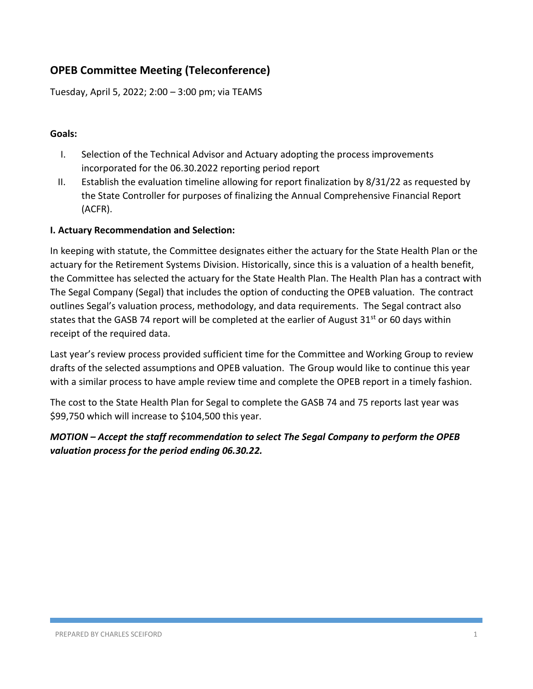# **OPEB Committee Meeting (Teleconference)**

Tuesday, April 5, 2022; 2:00 – 3:00 pm; via TEAMS

#### **Goals:**

- I. Selection of the Technical Advisor and Actuary adopting the process improvements incorporated for the 06.30.2022 reporting period report
- II. Establish the evaluation timeline allowing for report finalization by 8/31/22 as requested by the State Controller for purposes of finalizing the Annual Comprehensive Financial Report (ACFR).

#### **I. Actuary Recommendation and Selection:**

In keeping with statute, the Committee designates either the actuary for the State Health Plan or the actuary for the Retirement Systems Division. Historically, since this is a valuation of a health benefit, the Committee has selected the actuary for the State Health Plan. The Health Plan has a contract with The Segal Company (Segal) that includes the option of conducting the OPEB valuation. The contract outlines Segal's valuation process, methodology, and data requirements. The Segal contract also states that the GASB 74 report will be completed at the earlier of August  $31^{st}$  or 60 days within receipt of the required data.

Last year's review process provided sufficient time for the Committee and Working Group to review drafts of the selected assumptions and OPEB valuation. The Group would like to continue this year with a similar process to have ample review time and complete the OPEB report in a timely fashion.

The cost to the State Health Plan for Segal to complete the GASB 74 and 75 reports last year was \$99,750 which will increase to \$104,500 this year.

## *MOTION – Accept the staff recommendation to select The Segal Company to perform the OPEB valuation process for the period ending 06.30.22.*